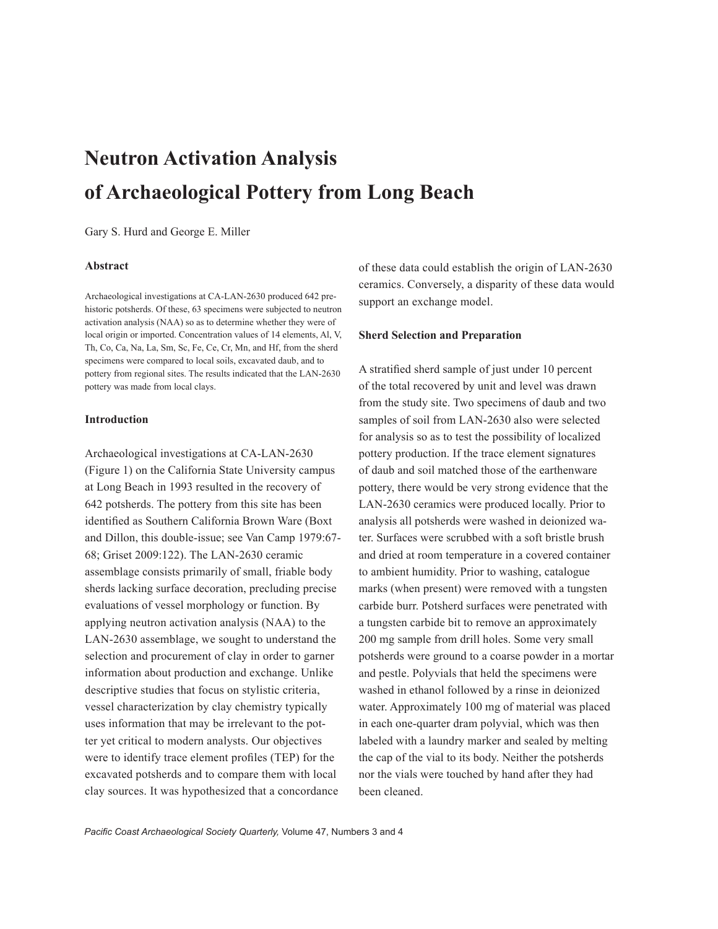# **Neutron Activation Analysis of Archaeological Pottery from Long Beach**

Gary S. Hurd and George E. Miller

## **Abstract**

Archaeological investigations at CA-LAN-2630 produced 642 prehistoric potsherds. Of these, 63 specimens were subjected to neutron activation analysis (NAA) so as to determine whether they were of local origin or imported. Concentration values of 14 elements, Al, V, Th, Co, Ca, Na, La, Sm, Sc, Fe, Ce, Cr, Mn, and Hf, from the sherd specimens were compared to local soils, excavated daub, and to pottery from regional sites. The results indicated that the LAN-2630 pottery was made from local clays.

# **Introduction**

Archaeological investigations at CA-LAN-2630 (Figure 1) on the California State University campus at Long Beach in 1993 resulted in the recovery of 642 potsherds. The pottery from this site has been identified as Southern California Brown Ware (Boxt and Dillon, this double-issue; see Van Camp 1979:67- 68; Griset 2009:122). The LAN-2630 ceramic assemblage consists primarily of small, friable body sherds lacking surface decoration, precluding precise evaluations of vessel morphology or function. By applying neutron activation analysis (NAA) to the LAN-2630 assemblage, we sought to understand the selection and procurement of clay in order to garner information about production and exchange. Unlike descriptive studies that focus on stylistic criteria, vessel characterization by clay chemistry typically uses information that may be irrelevant to the potter yet critical to modern analysts. Our objectives were to identify trace element profiles (TEP) for the excavated potsherds and to compare them with local clay sources. It was hypothesized that a concordance

of these data could establish the origin of LAN-2630 ceramics. Conversely, a disparity of these data would support an exchange model.

# **Sherd Selection and Preparation**

A stratified sherd sample of just under 10 percent of the total recovered by unit and level was drawn from the study site. Two specimens of daub and two samples of soil from LAN-2630 also were selected for analysis so as to test the possibility of localized pottery production. If the trace element signatures of daub and soil matched those of the earthenware pottery, there would be very strong evidence that the LAN-2630 ceramics were produced locally. Prior to analysis all potsherds were washed in deionized water. Surfaces were scrubbed with a soft bristle brush and dried at room temperature in a covered container to ambient humidity. Prior to washing, catalogue marks (when present) were removed with a tungsten carbide burr. Potsherd surfaces were penetrated with a tungsten carbide bit to remove an approximately 200 mg sample from drill holes. Some very small potsherds were ground to a coarse powder in a mortar and pestle. Polyvials that held the specimens were washed in ethanol followed by a rinse in deionized water. Approximately 100 mg of material was placed in each one-quarter dram polyvial, which was then labeled with a laundry marker and sealed by melting the cap of the vial to its body. Neither the potsherds nor the vials were touched by hand after they had been cleaned.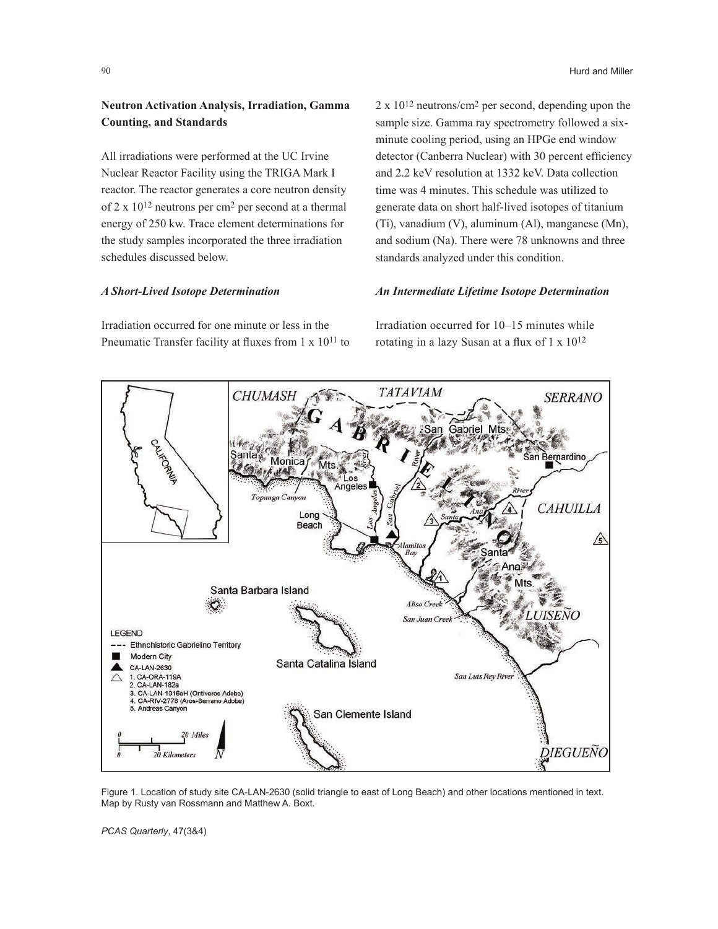# **Neutron Activation Analysis, Irradiation, Gamma Counting, and Standards**

All irradiations were performed at the UC Irvine Nuclear Reactor Facility using the TRIGA Mark I reactor. The reactor generates a core neutron density of 2 x 1012 neutrons per cm2 per second at a thermal energy of 250 kw. Trace element determinations for the study samples incorporated the three irradiation schedules discussed below.

#### *A Short-Lived Isotope Determination*

Irradiation occurred for one minute or less in the Pneumatic Transfer facility at fluxes from 1 x 10<sup>11</sup> to  $2 \times 10^{12}$  neutrons/cm<sup>2</sup> per second, depending upon the sample size. Gamma ray spectrometry followed a sixminute cooling period, using an HPGe end window detector (Canberra Nuclear) with 30 percent efficiency and 2.2 keV resolution at 1332 keV. Data collection time was 4 minutes. This schedule was utilized to generate data on short half-lived isotopes of titanium (Ti), vanadium (V), aluminum (Al), manganese (Mn), and sodium (Na). There were 78 unknowns and three standards analyzed under this condition.

# *An Intermediate Lifetime Isotope Determination*

Irradiation occurred for 10–15 minutes while rotating in a lazy Susan at a flux of 1 x 1012



Figure 1. Location of study site CA-LAN-2630 (solid triangle to east of Long Beach) and other locations mentioned in text. Map by Rusty van Rossmann and Matthew A. Boxt.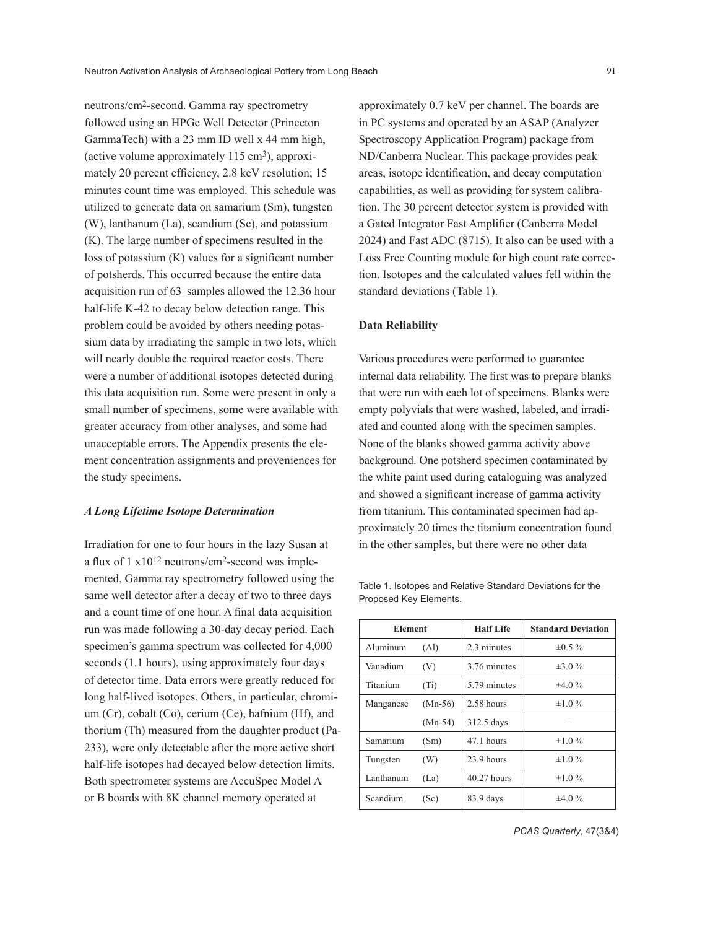neutrons/cm2-second. Gamma ray spectrometry followed using an HPGe Well Detector (Princeton GammaTech) with a 23 mm ID well x 44 mm high, (active volume approximately  $115 \text{ cm}^3$ ), approximately 20 percent efficiency, 2.8 keV resolution; 15 minutes count time was employed. This schedule was utilized to generate data on samarium (Sm), tungsten (W), lanthanum (La), scandium (Sc), and potassium (K). The large number of specimens resulted in the loss of potassium (K) values for a significant number of potsherds. This occurred because the entire data acquisition run of 63 samples allowed the 12.36 hour half-life K-42 to decay below detection range. This problem could be avoided by others needing potassium data by irradiating the sample in two lots, which will nearly double the required reactor costs. There were a number of additional isotopes detected during this data acquisition run. Some were present in only a small number of specimens, some were available with greater accuracy from other analyses, and some had unacceptable errors. The Appendix presents the element concentration assignments and proveniences for the study specimens.

#### *A Long Lifetime Isotope Determination*

Irradiation for one to four hours in the lazy Susan at a flux of  $1 \times 10^{12}$  neutrons/cm<sup>2</sup>-second was implemented. Gamma ray spectrometry followed using the same well detector after a decay of two to three days and a count time of one hour. A final data acquisition run was made following a 30-day decay period. Each specimen's gamma spectrum was collected for 4,000 seconds (1.1 hours), using approximately four days of detector time. Data errors were greatly reduced for long half-lived isotopes. Others, in particular, chromium (Cr), cobalt (Co), cerium (Ce), hafnium (Hf), and thorium (Th) measured from the daughter product (Pa-233), were only detectable after the more active short half-life isotopes had decayed below detection limits. Both spectrometer systems are AccuSpec Model A or B boards with 8K channel memory operated at

approximately 0.7 keV per channel. The boards are in PC systems and operated by an ASAP (Analyzer Spectroscopy Application Program) package from ND/Canberra Nuclear. This package provides peak areas, isotope identification, and decay computation capabilities, as well as providing for system calibration. The 30 percent detector system is provided with a Gated Integrator Fast Amplifier (Canberra Model 2024) and Fast ADC (8715). It also can be used with a Loss Free Counting module for high count rate correction. Isotopes and the calculated values fell within the standard deviations (Table 1).

#### **Data Reliability**

Various procedures were performed to guarantee internal data reliability. The first was to prepare blanks that were run with each lot of specimens. Blanks were empty polyvials that were washed, labeled, and irradiated and counted along with the specimen samples. None of the blanks showed gamma activity above background. One potsherd specimen contaminated by the white paint used during cataloguing was analyzed and showed a significant increase of gamma activity from titanium. This contaminated specimen had approximately 20 times the titanium concentration found in the other samples, but there were no other data

| <b>Element</b> |                   | <b>Half Life</b> | <b>Standard Deviation</b> |
|----------------|-------------------|------------------|---------------------------|
| Aluminum       | (A <sub>l</sub> ) | 2.3 minutes      | $\pm 0.5 \%$              |
| Vanadium       | (V)               | 3.76 minutes     | $\pm 3.0 \%$              |
| Titanium       | (T <sub>i</sub> ) | 5.79 minutes     | $\pm 4.0 \%$              |
| Manganese      | $(Mn-56)$         | $2.58$ hours     | $\pm 1.0 \%$              |
|                | $(Mn-54)$         | 312.5 days       |                           |
| Samarium       | (Sm)              | 47.1 hours       | $\pm 1.0 \%$              |
| Tungsten       | (W)               | 23.9 hours       | $\pm 1.0 \%$              |
| Lanthanum      | (La)              | 40.27 hours      | $\pm 1.0 \%$              |
| Scandium       | (Sc)              | 83.9 days        | $\pm 4.0 \%$              |

Table 1. Isotopes and Relative Standard Deviations for the Proposed Key Elements.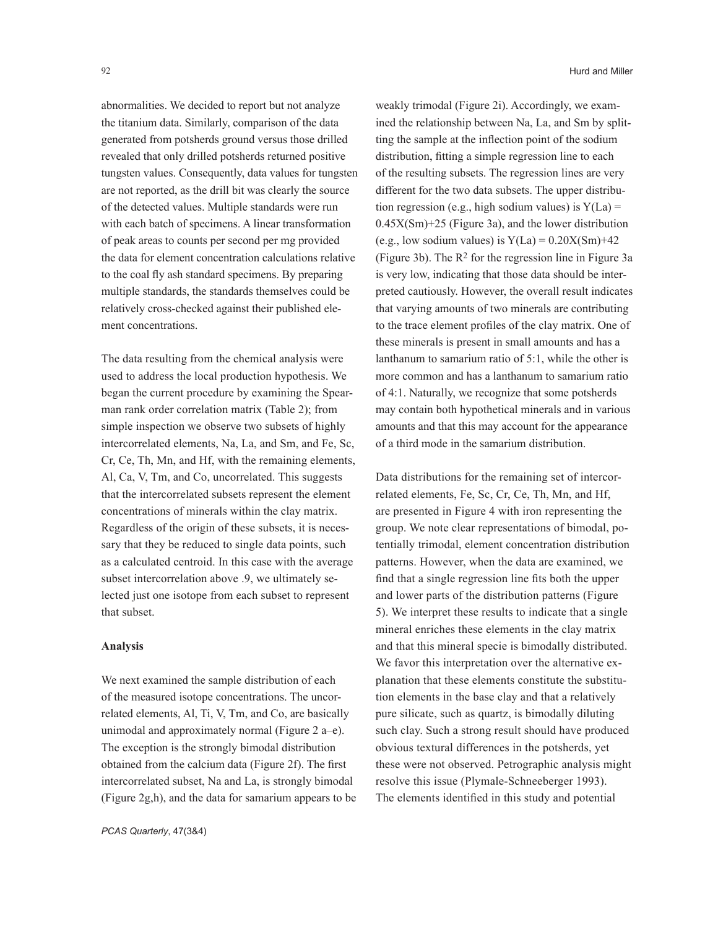abnormalities. We decided to report but not analyze the titanium data. Similarly, comparison of the data generated from potsherds ground versus those drilled revealed that only drilled potsherds returned positive tungsten values. Consequently, data values for tungsten are not reported, as the drill bit was clearly the source of the detected values. Multiple standards were run with each batch of specimens. A linear transformation of peak areas to counts per second per mg provided the data for element concentration calculations relative to the coal fly ash standard specimens. By preparing multiple standards, the standards themselves could be relatively cross-checked against their published element concentrations.

The data resulting from the chemical analysis were used to address the local production hypothesis. We began the current procedure by examining the Spearman rank order correlation matrix (Table 2); from simple inspection we observe two subsets of highly intercorrelated elements, Na, La, and Sm, and Fe, Sc, Cr, Ce, Th, Mn, and Hf, with the remaining elements, Al, Ca, V, Tm, and Co, uncorrelated. This suggests that the intercorrelated subsets represent the element concentrations of minerals within the clay matrix. Regardless of the origin of these subsets, it is necessary that they be reduced to single data points, such as a calculated centroid. In this case with the average subset intercorrelation above .9, we ultimately selected just one isotope from each subset to represent that subset.

#### **Analysis**

We next examined the sample distribution of each of the measured isotope concentrations. The uncorrelated elements, Al, Ti, V, Tm, and Co, are basically unimodal and approximately normal (Figure 2 a–e). The exception is the strongly bimodal distribution obtained from the calcium data (Figure 2f). The first intercorrelated subset, Na and La, is strongly bimodal (Figure 2g,h), and the data for samarium appears to be weakly trimodal (Figure 2i). Accordingly, we examined the relationship between Na, La, and Sm by splitting the sample at the inflection point of the sodium distribution, fitting a simple regression line to each of the resulting subsets. The regression lines are very different for the two data subsets. The upper distribution regression (e.g., high sodium values) is  $Y(La) =$ 0.45X(Sm)+25 (Figure 3a), and the lower distribution (e.g., low sodium values) is  $Y(La) = 0.20X(Sm) + 42$ (Figure 3b). The R2 for the regression line in Figure 3a is very low, indicating that those data should be interpreted cautiously. However, the overall result indicates that varying amounts of two minerals are contributing to the trace element profiles of the clay matrix. One of these minerals is present in small amounts and has a lanthanum to samarium ratio of 5:1, while the other is more common and has a lanthanum to samarium ratio of 4:1. Naturally, we recognize that some potsherds may contain both hypothetical minerals and in various amounts and that this may account for the appearance of a third mode in the samarium distribution.

Data distributions for the remaining set of intercorrelated elements, Fe, Sc, Cr, Ce, Th, Mn, and Hf, are presented in Figure 4 with iron representing the group. We note clear representations of bimodal, potentially trimodal, element concentration distribution patterns. However, when the data are examined, we find that a single regression line fits both the upper and lower parts of the distribution patterns (Figure 5). We interpret these results to indicate that a single mineral enriches these elements in the clay matrix and that this mineral specie is bimodally distributed. We favor this interpretation over the alternative explanation that these elements constitute the substitution elements in the base clay and that a relatively pure silicate, such as quartz, is bimodally diluting such clay. Such a strong result should have produced obvious textural differences in the potsherds, yet these were not observed. Petrographic analysis might resolve this issue (Plymale-Schneeberger 1993). The elements identified in this study and potential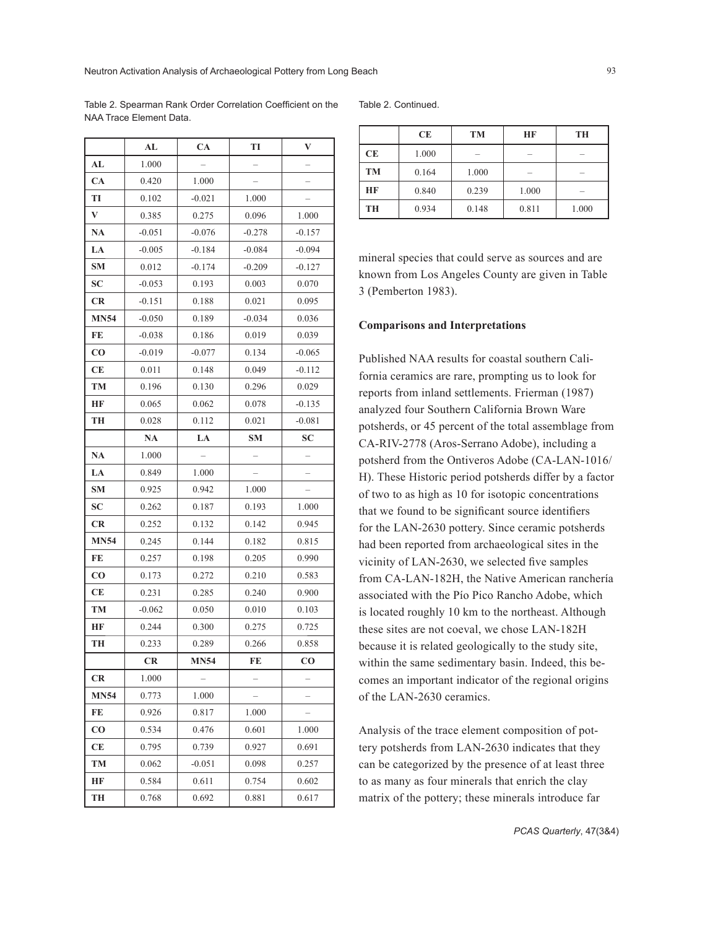Table 2. Spearman Rank Order Correlation Coefficient on the NAA Trace Element Data.

|             | AL        | CA          | TI        | V           |
|-------------|-----------|-------------|-----------|-------------|
| AL          | 1.000     |             |           |             |
| CA          | 0.420     | 1.000       |           |             |
| TI          | 0.102     | $-0.021$    | 1.000     |             |
| V           | 0.385     | 0.275       | 0.096     | 1.000       |
| <b>NA</b>   | $-0.051$  | $-0.076$    | $-0.278$  | $-0.157$    |
| LA          | $-0.005$  | $-0.184$    | $-0.084$  | $-0.094$    |
| <b>SM</b>   | 0.012     | $-0.174$    | $-0.209$  | $-0.127$    |
| SС          | $-0.053$  | 0.193       | 0.003     | 0.070       |
| <b>CR</b>   | $-0.151$  | 0.188       | 0.021     | 0.095       |
| <b>MN54</b> | $-0.050$  | 0.189       | $-0.034$  | 0.036       |
| FE          | $-0.038$  | 0.186       | 0.019     | 0.039       |
| CO          | $-0.019$  | $-0.077$    | 0.134     | $-0.065$    |
| CЕ          | 0.011     | 0.148       | 0.049     | $-0.112$    |
| TM          | 0.196     | 0.130       | 0.296     | 0.029       |
| HF          | 0.065     | 0.062       | 0.078     | $-0.135$    |
| TН          | 0.028     | 0.112       | 0.021     | $-0.081$    |
|             | NA        | LA          | <b>SM</b> | SC          |
| <b>NA</b>   | 1.000     |             |           |             |
| LA          | 0.849     | 1.000       |           |             |
| <b>SM</b>   | 0.925     | 0.942       | 1.000     |             |
| SС          | 0.262     | 0.187       | 0.193     | 1.000       |
| <b>CR</b>   | 0.252     | 0.132       | 0.142     | 0.945       |
| <b>MN54</b> | 0.245     | 0.144       | 0.182     | 0.815       |
| FE          | 0.257     | 0.198       | 0.205     | 0.990       |
| CO          | 0.173     | 0.272       | 0.210     | 0.583       |
| CЕ          | 0.231     | 0.285       | 0.240     | 0.900       |
| TM          | $-0.062$  | 0.050       | 0.010     | 0.103       |
| HF          | 0.244     | 0.300       | 0.275     | 0.725       |
| TH          | 0.233     | 0.289       | 0.266     | 0.858       |
|             | <b>CR</b> | <b>MN54</b> | FE        | $_{\rm CO}$ |
| CR          | 1.000     |             |           |             |
| <b>MN54</b> | 0.773     | 1.000       |           |             |
| FE          | 0.926     | 0.817       | 1.000     |             |
| $\bf CO$    | 0.534     | 0.476       | 0.601     | 1.000       |
| СE          | 0.795     | 0.739       | 0.927     | 0.691       |
| TM          | 0.062     | $-0.051$    | 0.098     | 0.257       |
| HF          | 0.584     | 0.611       | 0.754     | 0.602       |
| TH          | 0.768     | 0.692       | 0.881     | 0.617       |

```
Table 2. Continued.
```

|           | <b>CE</b> | <b>TM</b> | HF    | TH    |
|-----------|-----------|-----------|-------|-------|
| <b>CE</b> | 1.000     |           |       |       |
| <b>TM</b> | 0.164     | 1.000     |       |       |
| HF        | 0.840     | 0.239     | 1.000 |       |
| TH        | 0.934     | 0.148     | 0.811 | 1.000 |

mineral species that could serve as sources and are known from Los Angeles County are given in Table 3 (Pemberton 1983).

#### **Comparisons and Interpretations**

Published NAA results for coastal southern California ceramics are rare, prompting us to look for reports from inland settlements. Frierman (1987) analyzed four Southern California Brown Ware potsherds, or 45 percent of the total assemblage from CA-RIV-2778 (Aros-Serrano Adobe), including a potsherd from the Ontiveros Adobe (CA-LAN-1016/ H). These Historic period potsherds differ by a factor of two to as high as 10 for isotopic concentrations that we found to be significant source identifiers for the LAN-2630 pottery. Since ceramic potsherds had been reported from archaeological sites in the vicinity of LAN-2630, we selected five samples from CA-LAN-182H, the Native American ranchería associated with the Pío Pico Rancho Adobe, which is located roughly 10 km to the northeast. Although these sites are not coeval, we chose LAN-182H because it is related geologically to the study site, within the same sedimentary basin. Indeed, this becomes an important indicator of the regional origins of the LAN-2630 ceramics.

Analysis of the trace element composition of pottery potsherds from LAN-2630 indicates that they can be categorized by the presence of at least three to as many as four minerals that enrich the clay matrix of the pottery; these minerals introduce far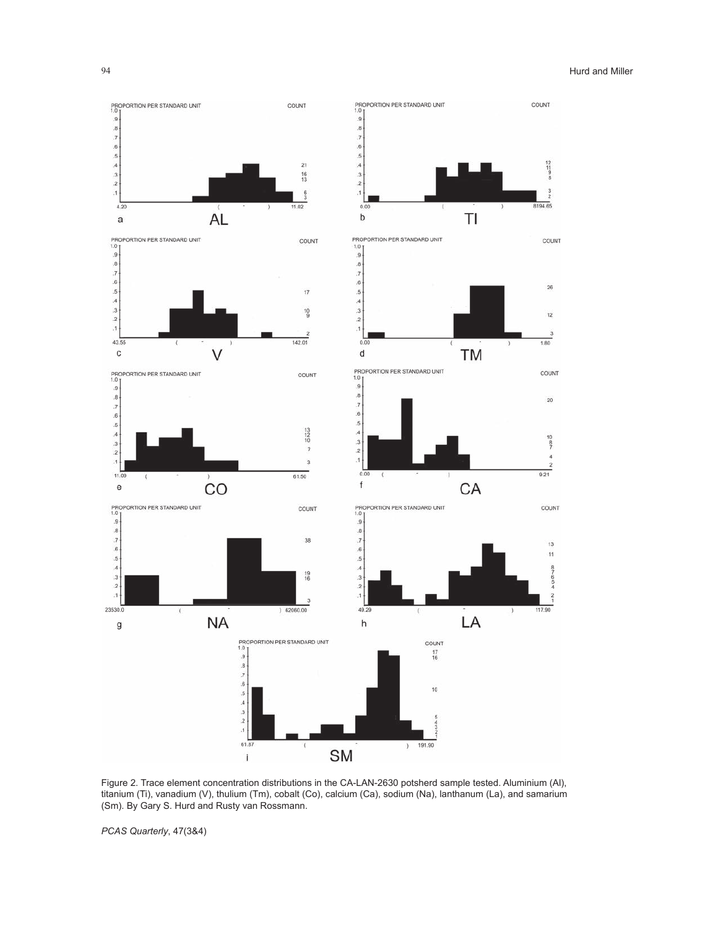

Figure 2. Trace element concentration distributions in the CA-LAN-2630 potsherd sample tested. Aluminium (Al), titanium (Ti), vanadium (V), thulium (Tm), cobalt (Co), calcium (Ca), sodium (Na), lanthanum (La), and samarium (Sm). By Gary S. Hurd and Rusty van Rossmann.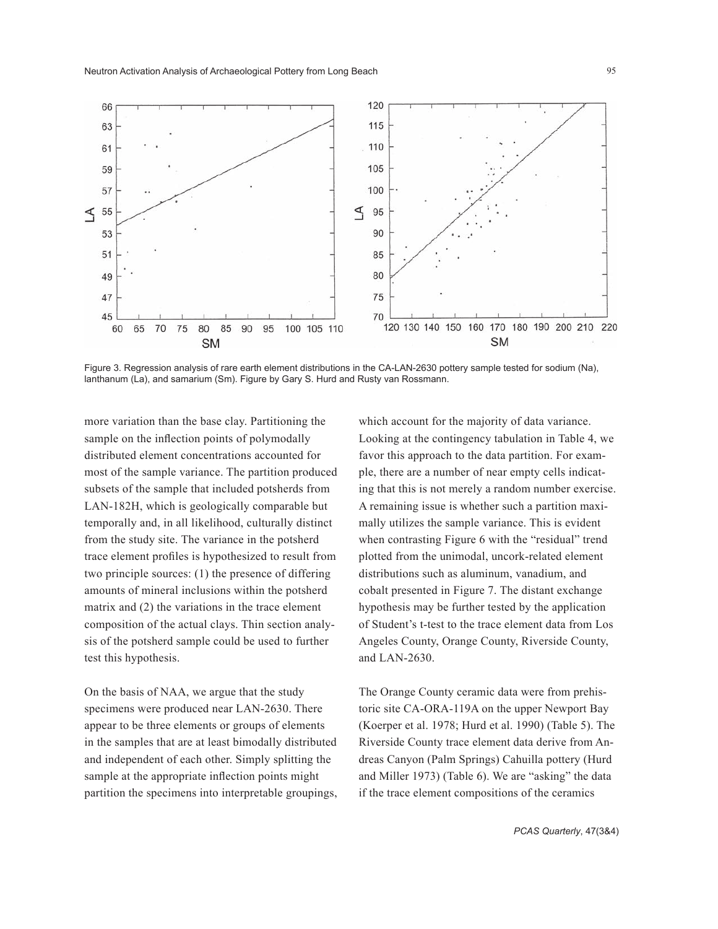

Figure 3. Regression analysis of rare earth element distributions in the CA-LAN-2630 pottery sample tested for sodium (Na), lanthanum (La), and samarium (Sm). Figure by Gary S. Hurd and Rusty van Rossmann.

more variation than the base clay. Partitioning the sample on the inflection points of polymodally distributed element concentrations accounted for most of the sample variance. The partition produced subsets of the sample that included potsherds from LAN-182H, which is geologically comparable but temporally and, in all likelihood, culturally distinct from the study site. The variance in the potsherd trace element profiles is hypothesized to result from two principle sources: (1) the presence of differing amounts of mineral inclusions within the potsherd matrix and (2) the variations in the trace element composition of the actual clays. Thin section analysis of the potsherd sample could be used to further test this hypothesis.

On the basis of NAA, we argue that the study specimens were produced near LAN-2630. There appear to be three elements or groups of elements in the samples that are at least bimodally distributed and independent of each other. Simply splitting the sample at the appropriate inflection points might partition the specimens into interpretable groupings, which account for the majority of data variance. Looking at the contingency tabulation in Table 4, we favor this approach to the data partition. For example, there are a number of near empty cells indicating that this is not merely a random number exercise. A remaining issue is whether such a partition maximally utilizes the sample variance. This is evident when contrasting Figure 6 with the "residual" trend plotted from the unimodal, uncork-related element distributions such as aluminum, vanadium, and cobalt presented in Figure 7. The distant exchange hypothesis may be further tested by the application of Student's t-test to the trace element data from Los Angeles County, Orange County, Riverside County, and LAN-2630.

The Orange County ceramic data were from prehistoric site CA-ORA-119A on the upper Newport Bay (Koerper et al. 1978; Hurd et al. 1990) (Table 5). The Riverside County trace element data derive from Andreas Canyon (Palm Springs) Cahuilla pottery (Hurd and Miller 1973) (Table 6). We are "asking" the data if the trace element compositions of the ceramics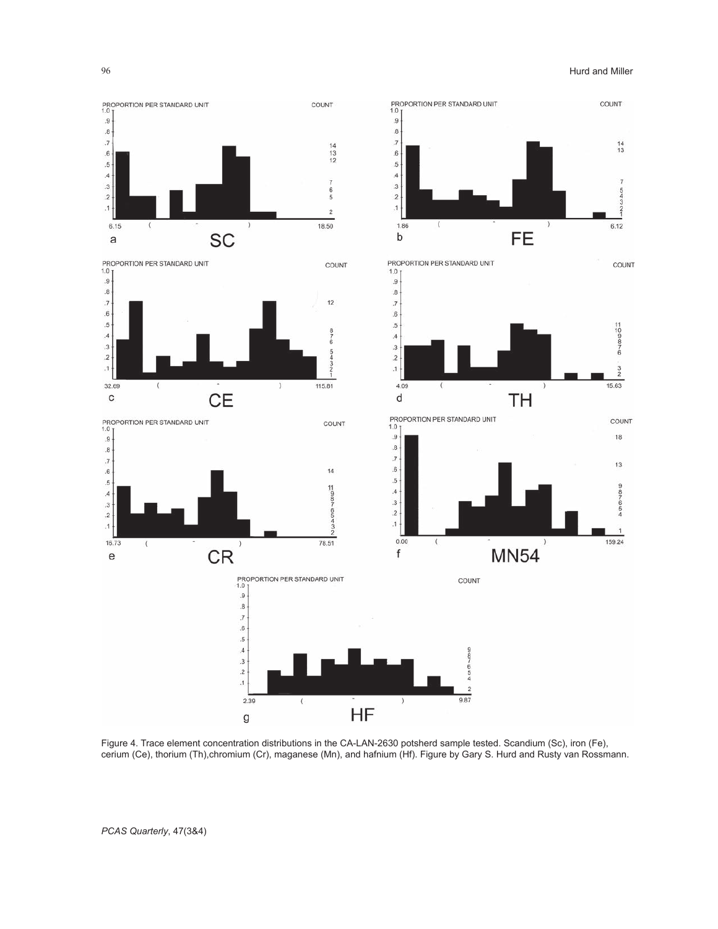

Figure 4. Trace element concentration distributions in the CA-LAN-2630 potsherd sample tested. Scandium (Sc), iron (Fe), cerium (Ce), thorium (Th),chromium (Cr), maganese (Mn), and hafnium (Hf). Figure by Gary S. Hurd and Rusty van Rossmann.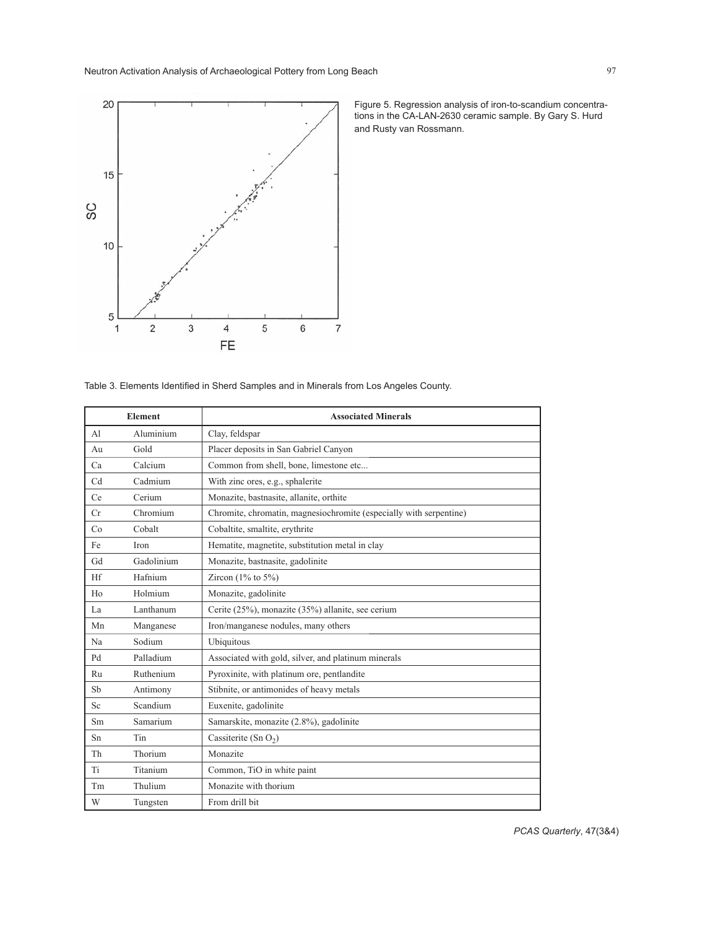

Figure 5. Regression analysis of iron-to-scandium concentrations in the CA-LAN-2630 ceramic sample. By Gary S. Hurd and Rusty van Rossmann.

| Table 3. Elements Identified in Sherd Samples and in Minerals from Los Angeles County. |  |  |
|----------------------------------------------------------------------------------------|--|--|
|                                                                                        |  |  |

|                | <b>Element</b>  | <b>Associated Minerals</b>                                         |
|----------------|-----------------|--------------------------------------------------------------------|
| A <sub>1</sub> | Aluminium       | Clay, feldspar                                                     |
| Au             | Gold            | Placer deposits in San Gabriel Canyon                              |
| Ca             | Calcium         | Common from shell, bone, limestone etc                             |
| Cd             | Cadmium         | With zinc ores, e.g., sphalerite                                   |
| Ce             | Cerium          | Monazite, bastnasite, allanite, orthite                            |
| Cr             | Chromium        | Chromite, chromatin, magnesiochromite (especially with serpentine) |
| Co             | Cobalt          | Cobaltite, smaltite, erythrite                                     |
| Fe             | Iron            | Hematite, magnetite, substitution metal in clay                    |
| Gd             | Gadolinium      | Monazite, bastnasite, gadolinite                                   |
| Hf             | Hafnium         | Zircon $(1\%$ to $5\%)$                                            |
| Ho             | Holmium         | Monazite, gadolinite                                               |
| La             | Lanthanum       | Cerite (25%), monazite (35%) allanite, see cerium                  |
| Mn             | Manganese       | Iron/manganese nodules, many others                                |
| Na             | Sodium          | Ubiquitous                                                         |
| Pd             | Palladium       | Associated with gold, silver, and platinum minerals                |
| Ru             | Ruthenium       | Pyroxinite, with platinum ore, pentlandite                         |
| Sb             | Antimony        | Stibnite, or antimonides of heavy metals                           |
| Sc             | Scandium        | Euxenite, gadolinite                                               |
| Sm             | <b>Samarium</b> | Samarskite, monazite (2.8%), gadolinite                            |
| Sn             | Tin             | Cassiterite (Sn $O_2$ )                                            |
| Th             | Thorium         | Monazite                                                           |
| Ti             | Titanium        | Common, TiO in white paint                                         |
| Tm             | Thulium         | Monazite with thorium                                              |
| W              | Tungsten        | From drill bit                                                     |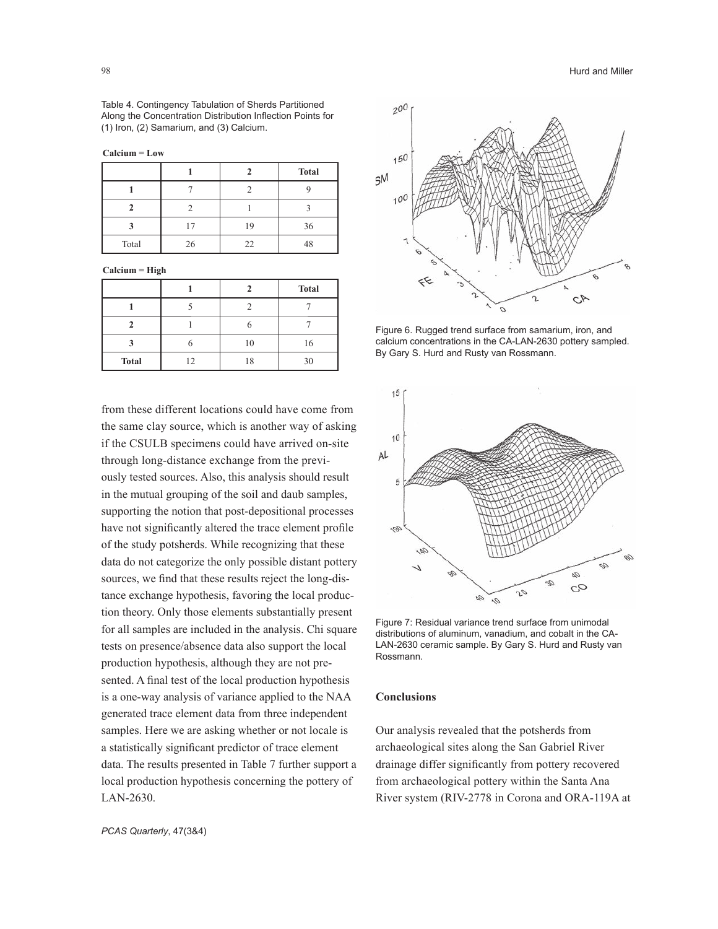Table 4. Contingency Tabulation of Sherds Partitioned Along the Concentration Distribution Inflection Points for (1) Iron, (2) Samarium, and (3) Calcium.

**Calcium = Low**

|       |    |    | <b>Total</b> |
|-------|----|----|--------------|
|       |    |    |              |
|       |    |    |              |
|       |    | 19 | 36           |
| Total | 26 | 22 | 48           |

**Calcium = High**

|              |    | <b>Total</b> |
|--------------|----|--------------|
|              |    |              |
|              |    |              |
|              |    | 16           |
| <b>Total</b> | 12 | 30           |

from these different locations could have come from the same clay source, which is another way of asking if the CSULB specimens could have arrived on-site through long-distance exchange from the previously tested sources. Also, this analysis should result in the mutual grouping of the soil and daub samples, supporting the notion that post-depositional processes have not significantly altered the trace element profile of the study potsherds. While recognizing that these data do not categorize the only possible distant pottery sources, we find that these results reject the long-distance exchange hypothesis, favoring the local production theory. Only those elements substantially present for all samples are included in the analysis. Chi square tests on presence/absence data also support the local production hypothesis, although they are not presented. A final test of the local production hypothesis is a one-way analysis of variance applied to the NAA generated trace element data from three independent samples. Here we are asking whether or not locale is a statistically significant predictor of trace element data. The results presented in Table 7 further support a local production hypothesis concerning the pottery of LAN-2630.

*PCAS Quarterly*, 47(3&4)



Figure 6. Rugged trend surface from samarium, iron, and calcium concentrations in the CA-LAN-2630 pottery sampled. By Gary S. Hurd and Rusty van Rossmann.



Figure 7: Residual variance trend surface from unimodal distributions of aluminum, vanadium, and cobalt in the CA-LAN-2630 ceramic sample. By Gary S. Hurd and Rusty van Rossmann.

#### **Conclusions**

Our analysis revealed that the potsherds from archaeological sites along the San Gabriel River drainage differ significantly from pottery recovered from archaeological pottery within the Santa Ana River system (RIV-2778 in Corona and ORA-119A at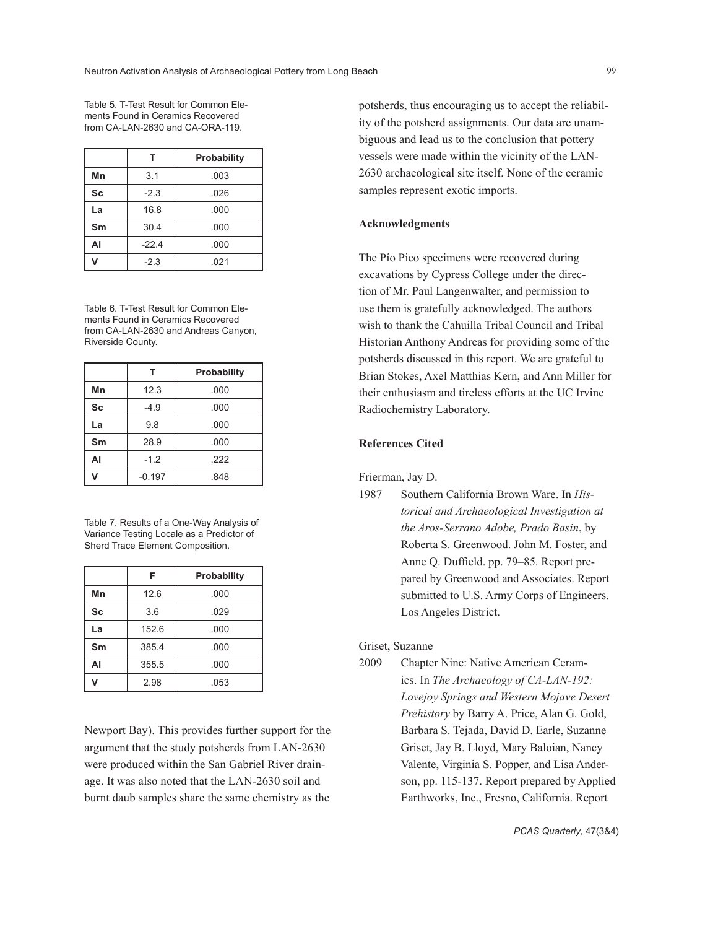Table 5. T-Test Result for Common Elements Found in Ceramics Recovered from CA-LAN-2630 and CA-ORA-119.

|           |         | Probability |
|-----------|---------|-------------|
| Mn        | 3.1     | .003        |
| <b>Sc</b> | $-2.3$  | .026        |
| La        | 16.8    | .000        |
| Sm        | 30.4    | .000        |
| AI        | $-22.4$ | .000        |
|           | $-2.3$  | .021        |

Table 6. T-Test Result for Common Elements Found in Ceramics Recovered from CA-LAN-2630 and Andreas Canyon, Riverside County.

|              |          | Probability |
|--------------|----------|-------------|
| Mn           | 12.3     | .000        |
| <b>Sc</b>    | $-4.9$   | .000        |
| La           | 9.8      | .000        |
| Sm           | 28.9     | .000        |
| AI           | $-1.2$   | .222        |
| $\mathbf{v}$ | $-0.197$ | .848        |

Table 7. Results of a One-Way Analysis of Variance Testing Locale as a Predictor of Sherd Trace Element Composition.

|           | F     | Probability |
|-----------|-------|-------------|
| Mn        | 12.6  | .000        |
| <b>Sc</b> | 3.6   | .029        |
| La        | 152.6 | .000        |
| Sm        | 385.4 | .000        |
| AI        | 355.5 | .000        |
|           | 2.98  | .053        |

Newport Bay). This provides further support for the argument that the study potsherds from LAN-2630 were produced within the San Gabriel River drainage. It was also noted that the LAN-2630 soil and burnt daub samples share the same chemistry as the

potsherds, thus encouraging us to accept the reliability of the potsherd assignments. Our data are unambiguous and lead us to the conclusion that pottery vessels were made within the vicinity of the LAN-2630 archaeological site itself. None of the ceramic samples represent exotic imports.

# **Acknowledgments**

The Pío Pico specimens were recovered during excavations by Cypress College under the direction of Mr. Paul Langenwalter, and permission to use them is gratefully acknowledged. The authors wish to thank the Cahuilla Tribal Council and Tribal Historian Anthony Andreas for providing some of the potsherds discussed in this report. We are grateful to Brian Stokes, Axel Matthias Kern, and Ann Miller for their enthusiasm and tireless efforts at the UC Irvine Radiochemistry Laboratory.

## **References Cited**

Frierman, Jay D.

1987 Southern California Brown Ware. In *Historical and Archaeological Investigation at the Aros-Serrano Adobe, Prado Basin*, by Roberta S. Greenwood. John M. Foster, and Anne Q. Duffield. pp. 79–85. Report prepared by Greenwood and Associates. Report submitted to U.S. Army Corps of Engineers. Los Angeles District.

#### Griset, Suzanne

2009 Chapter Nine: Native American Ceramics. In *The Archaeology of CA-LAN-192: Lovejoy Springs and Western Mojave Desert Prehistory* by Barry A. Price, Alan G. Gold, Barbara S. Tejada, David D. Earle, Suzanne Griset, Jay B. Lloyd, Mary Baloian, Nancy Valente, Virginia S. Popper, and Lisa Anderson, pp. 115-137. Report prepared by Applied Earthworks, Inc., Fresno, California. Report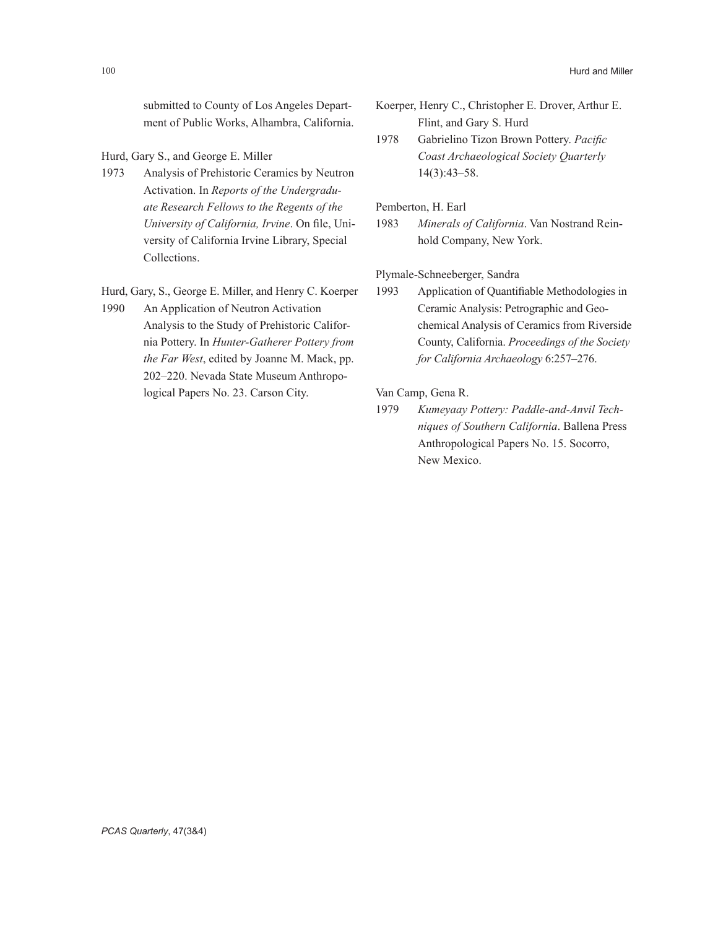submitted to County of Los Angeles Department of Public Works, Alhambra, California.

- Hurd, Gary S., and George E. Miller
- 1973 Analysis of Prehistoric Ceramics by Neutron Activation. In *Reports of the Undergraduate Research Fellows to the Regents of the University of California, Irvine*. On file, University of California Irvine Library, Special Collections.
- Hurd, Gary, S., George E. Miller, and Henry C. Koerper 1990 An Application of Neutron Activation
- Analysis to the Study of Prehistoric California Pottery. In *Hunter-Gatherer Pottery from the Far West*, edited by Joanne M. Mack, pp. 202–220. Nevada State Museum Anthropological Papers No. 23. Carson City.
- Koerper, Henry C., Christopher E. Drover, Arthur E. Flint, and Gary S. Hurd
- 1978 Gabrielino Tizon Brown Pottery. *Pacific Coast Archaeological Society Quarterly* 14(3):43–58.

Pemberton, H. Earl

1983 *Minerals of California*. Van Nostrand Reinhold Company, New York.

Plymale-Schneeberger, Sandra

1993 Application of Quantifiable Methodologies in Ceramic Analysis: Petrographic and Geochemical Analysis of Ceramics from Riverside County, California. *Proceedings of the Society for California Archaeology* 6:257–276.

Van Camp, Gena R.

1979 *Kumeyaay Pottery: Paddle-and-Anvil Techniques of Southern California*. Ballena Press Anthropological Papers No. 15. Socorro, New Mexico.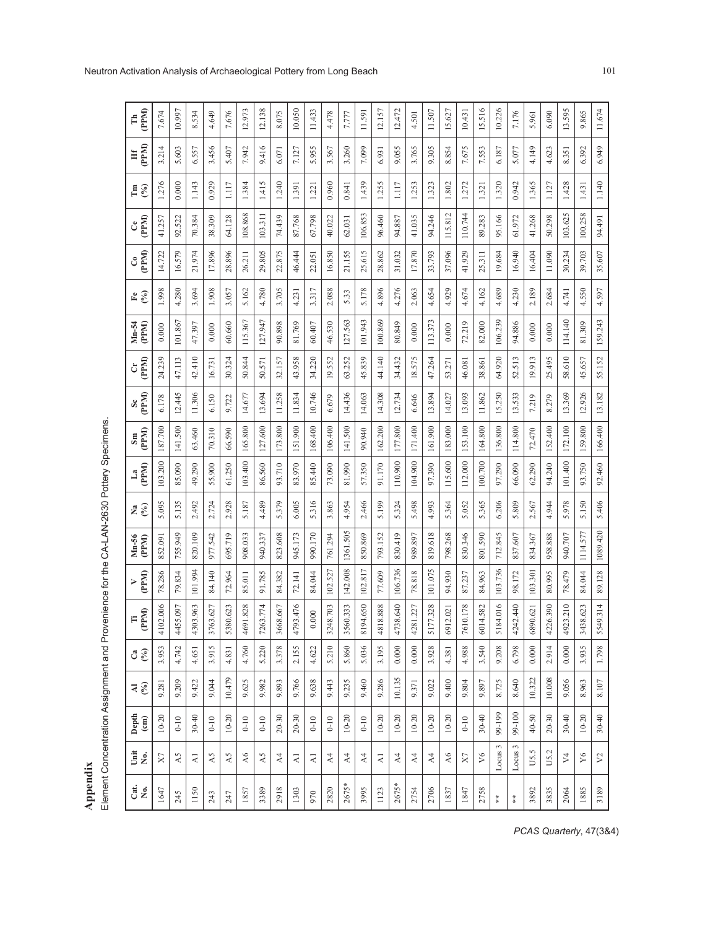| 3.214<br>1.276<br>41.257 | 5.603<br>0.000 | 6.557<br>1.143 | 3.456             | 5.407     | 7.942       |            |                |              |          |             |                |                |           |                |                |                |            |         |            |               |           |          |                  |            |           |                 |
|--------------------------|----------------|----------------|-------------------|-----------|-------------|------------|----------------|--------------|----------|-------------|----------------|----------------|-----------|----------------|----------------|----------------|------------|---------|------------|---------------|-----------|----------|------------------|------------|-----------|-----------------|
|                          |                |                |                   |           |             | 9.416      | 6.071          | 7.127        | 5.955    | 3.567       | 3.260          | 7.099          | 6.931     | 9.055          | 3.765          | 9.305          | 8.854      | 7.675   | 7.553      | 6.187         | 5.077     | 4.149    | 4.623            | 8.351      | 6.392     | 6.949           |
|                          |                |                | 0.929             | 1.117     | 1.384       | 1.415      | 1.240          | 1.391        | 1.221    | 0.960       | 0.841          | 1.439          | 1.255     | 1.117          | 1.253          | 1.323          | 1.802      | 1.272   | 1.321      | 1.320         | 0.942     | 1.365    | 1.127            | 1.428      | 1.431     | 1.140           |
|                          |                | 70.384         | 38.309            | 64.128    | 108.868     | 103.311    | 74.439         | 87.768       | 67.798   | 40.022      | 62.031         | 106.853        | 96.460    | 94.887         | 41.035         | 94.246         | 115.812    | 110.744 | 89.283     | 95.166        | 61.972    | 41.268   | 50.298           | 103.625    | 100.258   | 94.491          |
|                          | 16.579         | 21.974         | 17.896            | 28.896    | 26.211      | 29.805     | 22.875         | 46.444       | 22.051   | 16.850      | 21.155         | 25.615         | 28.862    | 31.032         | 17.870         | 33.793         | 37.096     | 41.929  | 25.311     | 19.684        | 16.940    | 16.404   | 11.090           | 30.234     | 39.703    | 35.607          |
| 1.998                    | 4.280          | 3.694          | 1.908             | 3.057     | 5.162       | 4.780      | 3.705          | 4.231        | 3.317    | 2.088       | 5.33           | 5.178          | 4.896     | 4.276          | 2.063          | 4.654          | 4.929      | 4.674   | 4.162      | 4.689         | 4.230     | 2.189    | 2.684            | 4.741      | 4.550     | 4.597           |
| 0.000                    | 101.867        | 47.397         | 0.000             | 60.660    | 115.367     | 127.947    | 90.898         | 81.769       | 60.407   | 46.530      | 127.563        | 101.943        | 100.869   | 80.849         | 0.000          | 113.373        | 0.000      | 72.219  | 82.000     | 106.239       | 94.886    | 0.000    | 0.000            | 114.140    | 81.309    | 159.243         |
| 24.239                   | 47.113         | 42.410         | 16.731            | 30.324    | 50.844      | 50.571     | 32.157         | 43.958       | 34.220   | 19.552      | 63.252         | 45.839         | 44.140    | 34.432         | 18.575         | 47.264         | 53.271     | 46.081  | 38.861     | 64.920        | 52.513    | 19.913   | 25.495           | 58.610     | 45.657    | 55.152          |
| 6.178                    | 12.445         | 11.306         | 6.150             | 9.722     | 14.677      | 13.694     | 11.258         | 11.834       | 10.746   | 6.679       | 14.436         | 14.063         | 14.308    | 12.734         | 6.646          | 13.894         | 14.027     | 13.093  | 11.862     | 15.250        | 13.533    | 7.219    | 8.279            | 13.369     | 12.926    | 13.182          |
| 187.700                  | 141.500        | 63.460         | 70.310            | 66.590    | 165.800     | 127.600    | 173.800        | 151.900      | 168.400  | 106.400     | 141.500        | 90.940         | 162.200   | 177.800        | 171.400        | 161.900        | 183.000    | 153.100 | 164.800    | 136.800       | 114.800   | 72.470   | 152.400          | 172.100    | 159.800   | 166.400         |
| 103.200                  | 85.090         | 49.290         | 55.900            | 61.250    | 103.400     | 86.560     | 93.710         | 83.970       | 85.440   | 73.090      | 81.990         | 57.350         | 91.170    | 110.900        | 104.900        | 97.390         | 115.600    | 112.000 | 100.700    | 97.290        | 66.090    | 62.290   | 94.240           | 101.400    | 93.750    | 92.460          |
| 5.095                    | 5.135          | 2.492          | 2.724             | 2.928     | 5.187       | 4.489      | 5.379          | 6.005        | 5.316    | 3.863       | 4.954          | 2.466          | 5.199     | 5.324          | 5.498          | 4.993          | 5.364      | 5.052   | 5.365      | 6.206         | 5.809     | 2.567    | 4.944            | 5.978      | 5.150     | 5.406           |
| 852.091                  | 755.949        | 820.109        | 977.542           | 695.719   | 908.033     | 940.337    | 823.608        | 945.173      | 990.170  | 761.294     | 1361.505       | 850.869        | 793.152   | 830.419        | 989.897        | 819.618        | 798.268    | 830.346 | 801.590    | 712.845       | 837.607   | 834.367  | 958.888          | 940.707    | 1114.577  | 1089.420        |
| 78.286                   | 79.834         | 101.994        | 84.140            | 72.964    | 85.011      | 91.785     | 84.382         | 72.141       | 84.044   | 102.527     | 142.008        | 102.817        | 77.609    | 106.736        | 78.818         | 101.075        | 94.930     | 87.237  | 84.963     | 103.736       | 98.172    | 103.301  | 80.995           | 78.479     | 84.044    | 89.128          |
| 102.006<br>4             | 4455.097       | 4303.963       | 763.627<br>$\sim$ | 5380.623  | 4691.828    | 7263.774   | 3668.667       | 793.476<br>4 | 0.000    | 3248.703    | 3560.333       | 8194.650       | 4818.888  | 4738.640       | 4281.227       | 5177.328       | 6912.021   | 610.178 | 6014.582   | 5184.016      | 4242.440  | 6890.621 | 4226.390         | 4923.210   | 3438.623  | 5549.314        |
| 3.953                    | 4.742          | 4.65           | 3.915             | 4.831     | 4.760       | 5.220      | 3.378          | 2.155        | 4.622    | 5.210       | 5.860          | 5.036          | 3.195     | $0.000$        | 0.000          | 3.928          | 4.381      | 4.988   | 3.540      | 9.208         | 6.798     | 0.000    | 2.914            | 0.000      | 3.935     | 1.798           |
| 9.281                    | 9.209          | 9.422          | 9.044             | 10.479    | 9.625       | 9.982      | 9.893          | 9.766        | 9.638    | 9.443       | 9.235          | 9.460          | 9.286     | 10.135         | 9.371          | 9.022          | 9.400      | 9.804   | 9.897      | 8.725         | 8.640     | 10.322   | 10.008           | 9.056      | 8.963     | 8.107           |
| $10 - 20$                | $0 - 10$       | $30 - 40$      | $0-10$            | $10 - 20$ | $0-10$      | $0 - 10$   | $20 - 30$      | $20 - 30$    | $0 - 10$ | $0 - 10$    | $10 - 20$      | $0 - 10$       | $10 - 20$ | $10 - 20$      | $10 - 20$      | $10 - 20$      | $10 - 20$  | $0-10$  | $30 - 40$  | 99-199        | 99-100    | 40-50    | $20 - 30$        | 30-40      | $10 - 20$ | 30-40           |
| X                        | A5             | $\gtrsim$      | A5                | A5        | $\lambda$ 6 | $\lambda5$ | A <sub>4</sub> | K            | $\Xi$    | $\lambda$ 4 | A <sub>4</sub> | A <sub>4</sub> | $\gtrsim$ | A <sub>4</sub> | A <sub>4</sub> | A <sub>4</sub> | $\lambda6$ | X       | $\sqrt{6}$ | Locus $3$     | Locus $3$ | US.5     | U <sub>5.2</sub> | $\sqrt{4}$ | Y6        | $\mathcal{V}^2$ |
| 1647                     | 245            | 1150           | 243               | 247       | 1857        | 3389       | 2918           | 1303         | 970      | 2820        | 2675*          | 3995           | 1123      | 2675*          | 2754           | 2706           | 1837       | 1847    | 2758       | $\frac{*}{*}$ | $*$       | 3892     | 3835             | 2064       | 1885      | 3189            |
|                          | 14.722         | 92.522         |                   |           |             |            |                |              |          |             |                |                |           |                |                |                |            |         |            |               |           |          |                  |            |           |                 |

**Appendix**<br>Element Concentration Assignment and Provenience for the CA-LAN-2630 Pottery Specimens. Element Concentration Assignment and Provenience for the CA-LAN-2630 Pottery Specimens.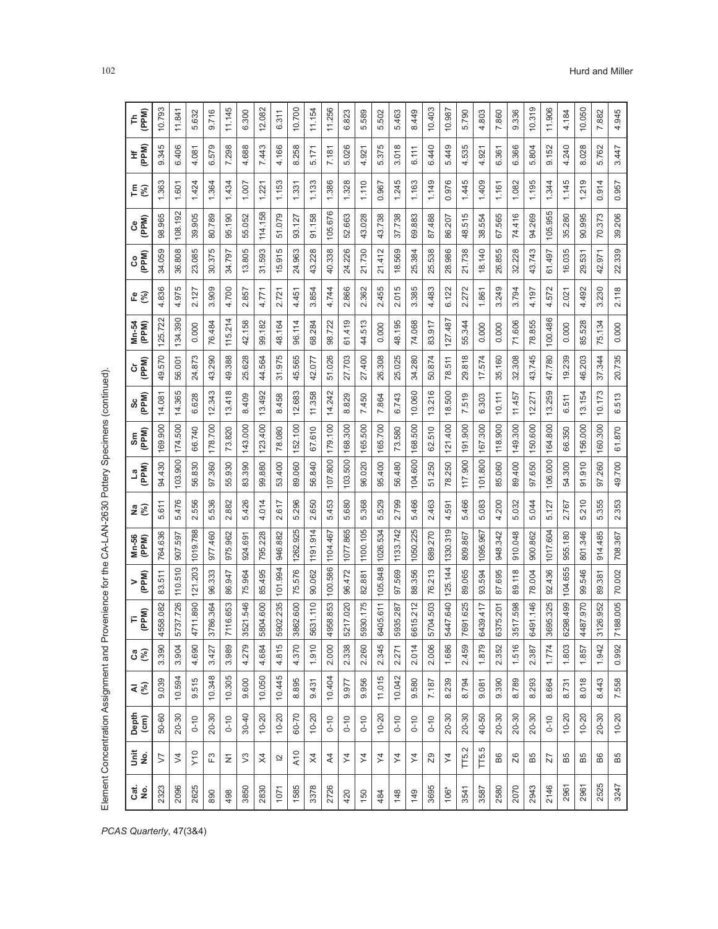|          |                               |               | Element Concentration Assignment and Pro |                 | venience for the            |             | CA-LAN-2630 Pottery |                             |             |             |             |            |                |                   |             |                       |             |                  |            |
|----------|-------------------------------|---------------|------------------------------------------|-----------------|-----------------------------|-------------|---------------------|-----------------------------|-------------|-------------|-------------|------------|----------------|-------------------|-------------|-----------------------|-------------|------------------|------------|
| ូត<br>ខេ | š g                           | Depth<br>(cm) | ৰ $\widehat{\mathcal{E}}$                | <b>ပဳ</b> ေ     | (PPM)<br>F                  | (PPM)<br>>  | Mn-56<br>(PPM)      | $\frac{1}{2}$ $\frac{1}{2}$ | (PPM)<br>ءَ | (PPM)<br>Sm | (PPM)<br>တိ | (PPM)<br>ö | Mn-54<br>(PPM) | $E$ $\frac{1}{2}$ | (PPM)<br>ပိ | <b>CONDED</b>         | $E \otimes$ | (PPM)<br>£       | (PPM)<br>는 |
| 2323     | 5                             | 50-60         | 9.039                                    | 3.390           | 58.082<br>45                | 83.511      | 764.636             | 5.611                       | 94.430      | 169.900     | 14.081      | 49.570     | 125.722        | 4.836             | 34.059      | 98.965                | 1.363       | 9.345            | 10.793     |
| 2096     | $\geq$                        | 20-30         | 10.594                                   | 3.904           | 37.726<br>57                | 110.510     | 597<br>907          | 5.476                       | 103.900     | 174.500     | 14.365      | 56.001     | 134.390        | 4.975             | 36.808      | 108.192               | 1.601       | 6.406            | 11.841     |
| 5<br>262 | V <sub>10</sub>               | $0 - 10$      | 9.515                                    | 4.690           | 11.890<br>47                | 121.203     | 1019.788            | 2.556                       | 56.830      | 66.740      | 6.628       | 24.873     | 0.000          | 2.127             | 23.085      | 39.905                | 1.424       | 4.081            | 5.632      |
| 890      | $\mathbb{E}^3$                | 20-30         | 10.348                                   | 3.427           | 86.364<br>$\overline{37}$   | 96.333      | 977.460             | 5.536                       | 97.360      | 178.700     | 12.343      | 43.290     | 76.484         | 3.909             | 30.375      | 80.789                | 1.364       | ၜ<br>6.57        | 9.716      |
| 498      | Ξ                             | $0 - 10$      | 10.305                                   | 3.989           | 16.653<br>Σ                 | 86.947      | 975.962             | 2.882                       | 55.930      | 73.820      | 13.418      | 49.388     | 115.214        | 4.700             | 34.797      | 95.190                | 1.434       | 7.298            | 11.145     |
| 3850     | $\mathbb S$                   | $30 - 40$     | 9.600                                    | Θ<br>4.27       | 321.546<br>35               | 75.964      | 924.691             | 5.426                       | 83.390      | 143.000     | 8.409       | 25.628     | 42.158         | 2.857             | 13.805      | 55.052                | 1.007       | 4.688            | 6.300      |
| 2830     | $\times$                      | $10 - 20$     | 10.050                                   | 4.684           | 009.600<br>58               | 85.495      | 795.228             | 4.014                       | 99.880      | 123.400     | 13.492      | 44.564     | 99.182         | 4.771             | 31.593      | 114.158               | 1.221       | 7.443            | 12.082     |
| 107      | $\simeq$                      | $10 - 20$     | 10.445                                   | 5<br>4.81       | 02.235<br>အ                 | 101.994     | 946.882             | 2.617                       | 53.400      | 78.080      | 8.458       | 31.975     | 48.164         | 2.721             | 15.915      | 51.079                | 1.153       | 4.166            | 6.311      |
| 158      | A10                           | 60-70         | 8.895                                    | $\circ$<br>4.37 | 862.600<br>38               | 75.576      | 1262.925            | 5.296                       | 89.060      | 152.100     | 12.683      | 45.565     | 96.114         | 4.451             | 24.963      | 93.127                | 1.331       | .258<br>$\infty$ | 10.700     |
| 337      | $\times$                      | $10 - 20$     | 9.431                                    | $\circ$<br>1.91 | 31.110<br>56                | 90.062      | 1191.914            | 2.650                       | 56.840      | 67.610      | 11.358      | 42.077     | 68.284         | 3.854             | 43.228      | 91.158                | 1.133       | 5.171            | 11.154     |
| 2726     | $\overline{A}$                | $0 - 10$      | 10.404                                   | 2.000           | 58.853<br>$\frac{9}{4}$     | 100.586     | 1104.467            | 5.453                       | 107.800     | 179.100     | 14.242      | 51.026     | 98.722         | 4.744             | 40.338      | 105.676               | 1.386       | 7.181            | 11.256     |
| 420      | $\overline{\mathsf{x}}$       | $0 - 10$      | 9.977                                    | 2.338           | 217.020<br>52               | 96.472      | 1077.865            | 5.680                       | 103.500     | 168.300     | 8.829       | 27.703     | 61.419         | 2.866             | 24.226      | 52.663                | 1.328       | 5.026            | 6.823      |
| 150      | $\overline{\mathsf{z}}$       | $0 - 10$      | 9.956                                    | 2.260           | 30.175<br>59                | 82.881      | 1100.105            | 5.368                       | 96.020      | 165.500     | 7.450       | 27.400     | 44.513         | 2.362             | 21.730      | 43.028                | 1.110       | 4.921            | 5.589      |
| 484      | $\overline{\mathcal{Z}}$      | $10 - 20$     | 11.015                                   | 5<br>2.34!      | $-05.611$<br>3              | 105.848     | 1026.534            | 529<br>ΓÓ.                  | 95.400      | 165.700     | 7.864       | 26.308     | 0.000          | 2.455             | 21.412      | 43.738                | 0.967       | 5<br>5.37        | 5.502      |
| 148      | $\overline{\mathcal{X}}$      | $0 - 10$      | 10.042                                   | 2.27            | 135.287<br>59               | 97.569      | 1133.742            | 2.799                       | 56.480      | 73.580      | 6.743       | 25.025     | 48.195         | 2.015             | 18.569      | 37.738                | 1.245       | 3.018            | 5.463      |
| 149      | $\lesssim$                    | $0 - 10$      | 9.580                                    | 2.01            | 6615.212                    | 88.356      | 1050.225            | 5.466                       | 104.600     | 168.500     | 10.060      | 34.280     | 74.068         | 3.385             | 25.384      | 69.883                | 1.163       | 6.111            | 8.449      |
| 3695     | $\overline{29}$               | $0 - 10$      | 7.187                                    | 2.006           | 04.503<br>57                | 213<br>76.  | 689.270             | 2.463                       | 51.250      | 62.510      | 13.216      | 50.874     | 83.917         | 4.483             | 25.538      | 87.488                | 1.149       | 6.440            | 10.403     |
| $106*$   | $\overline{\mathcal{Z}}$      | $20 - 30$     | 8.239                                    | 1.686           | 47.640<br>£,                | 125.144     | 1330.319            | 4.591                       | 78.250      | 121.400     | 18.500      | 78.511     | 127.487        | 6.122             | 28.986      | 86.207                | 0.976       | 5.449            | 10.987     |
| 354      | N<br>$\overline{\Gamma}$ 5.   | $20 - 30$     | 8.794                                    | 2.459           | 81.625<br>$\overline{76}$   | .065<br>89. | 809.867             | 5.466                       | 117.900     | 191.900     | 7.519       | 29.818     | 55.344         | 2.272             | 21.738      | 515<br>$\frac{48}{5}$ | 1.445       | 4.535            | 5.790      |
| 3587     | rÙ.<br>$\overline{\Gamma}$ 5. | 40-50         | 9.081                                    | Θ<br>1.87       | 30.417 <br>64               | 93.594      | 1095.967            | 5.083                       | 101.800     | 167.300     | 6.303       | 17.574     | 0.000          | 1.861             | 18.140      | 38.554                | 1.409       | 4.921            | 4.803      |
| 2580     | <b>B6</b>                     | 20-30         | 9.390                                    | 2.35            | 6375.201                    | .695<br>87. | 948.342             | 4.200                       | 85.060      | 118.900     | 10.111      | 35.160     | 0.000          | 3.249             | 26.855      | 67.565                | 1.161       | 6.361            | 7.860      |
| 2070     | 26                            | $20 - 30$     | 8.789                                    | 6<br>1.51       | 17.598 <br>35               | 89.118      | 910.048             | 5.032                       | 89.400      | 149.300     | 11.457      | 32.308     | 71.606         | 3.794             | 32.228      | 74.416                | 1.082       | 6.366            | 9.336      |
| 2943     | B5                            | $20 - 30$     | 8.293                                    | 2.387           | $-91.146$<br>$\mathfrak{A}$ | 78.004      | 900.862             | 5.044                       | 97.650      | 150.600     | 12.271      | 43.745     | 78.855         | 4.197             | 43.743      | 94.269                | 1.195       | 5.804            | 10.319     |
| 2146     | Z7                            | $0 - 10$      | 8.664                                    | 1.774           | 395.325<br>36               | 92.436      | 1017.604            | 5.127                       | 106.000     | 164.800     | 13.259      | 47.780     | 100.486        | 4.572             | 61.497      | 105.955               | 1.344       | 9.152            | 11.906     |
| 296      | B5                            | $10 - 20$     | 8.731                                    | 1.803           | 88.499<br>62                | 104.655     | 955.180             | 2.767                       | 54.300      | 66.350      | 6.511       | 19.239     | 0.000          | 2.021             | 16.035      | 35.280                | 1.145       | 4.240            | 4.184      |
| 2961     | B5                            | $10 - 20$     | 8.018                                    | 1.857           | 87.970<br>$\frac{4}{3}$     | 546<br>99.  | .346<br>801.        | 5.210                       | 91.910      | 156.000     | 13.154      | 46.203     | 85.528         | 4.492             | 531<br>29.  | 90.995                | 1.219       | 8.028            | 10.050     |
| 2525     | B6                            | $20 - 30$     | 8.443                                    | 1.942           | 26.952<br>$\frac{2}{3}$     | 89.381      | 914.485             | 5.355                       | 97.260      | 160.300     | 10.173      | 37.344     | 75.134         | 3.230             | 42.971      | 70.373                | 0.914       | 5.762            | 7.882      |
| 3247     | B5                            | $10 - 20$     | 7.558                                    | 0.992           | 88.005<br>$\frac{1}{2}$     | 70.002      | 708.367             | 2.353                       | 49.700      | 61.870      | 6.513       | 20.735     | 0.000          | 2.118             | 22.339      | 39.206                | 0.957       | 3.447            | 4.945      |